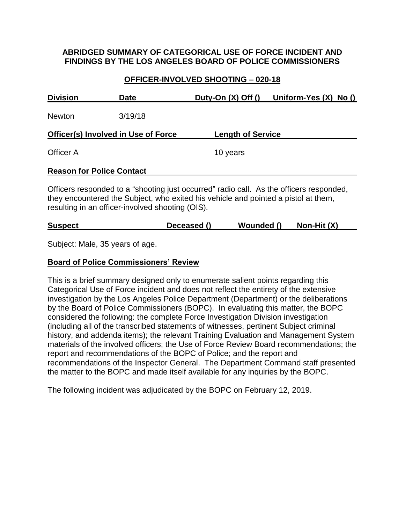### **ABRIDGED SUMMARY OF CATEGORICAL USE OF FORCE INCIDENT AND FINDINGS BY THE LOS ANGELES BOARD OF POLICE COMMISSIONERS**

### **OFFICER-INVOLVED SHOOTING – 020-18**

| <b>Division</b>                     | <b>Date</b>                                      | Duty-On $(X)$ Off $()$                                                             | Uniform-Yes (X) No ()                                                                   |
|-------------------------------------|--------------------------------------------------|------------------------------------------------------------------------------------|-----------------------------------------------------------------------------------------|
| <b>Newton</b>                       | 3/19/18                                          |                                                                                    |                                                                                         |
| Officer(s) Involved in Use of Force |                                                  | <b>Length of Service</b>                                                           |                                                                                         |
| Officer A                           |                                                  | 10 years                                                                           |                                                                                         |
| <b>Reason for Police Contact</b>    |                                                  |                                                                                    |                                                                                         |
|                                     | resulting in an officer-involved shooting (OIS). | they encountered the Subject, who exited his vehicle and pointed a pistol at them, | Officers responded to a "shooting just occurred" radio call. As the officers responded, |

| <b>Suspect</b> | Deceased () | Wounded () | Non-Hit (X) |
|----------------|-------------|------------|-------------|
|                |             |            |             |

Subject: Male, 35 years of age.

#### **Board of Police Commissioners' Review**

This is a brief summary designed only to enumerate salient points regarding this Categorical Use of Force incident and does not reflect the entirety of the extensive investigation by the Los Angeles Police Department (Department) or the deliberations by the Board of Police Commissioners (BOPC). In evaluating this matter, the BOPC considered the following: the complete Force Investigation Division investigation (including all of the transcribed statements of witnesses, pertinent Subject criminal history, and addenda items); the relevant Training Evaluation and Management System materials of the involved officers; the Use of Force Review Board recommendations; the report and recommendations of the BOPC of Police; and the report and recommendations of the Inspector General. The Department Command staff presented the matter to the BOPC and made itself available for any inquiries by the BOPC.

The following incident was adjudicated by the BOPC on February 12, 2019.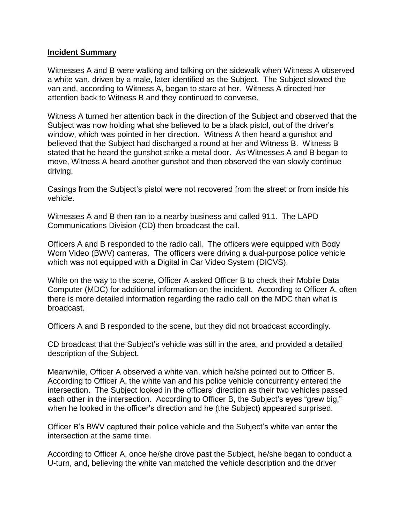#### **Incident Summary**

Witnesses A and B were walking and talking on the sidewalk when Witness A observed a white van, driven by a male, later identified as the Subject. The Subject slowed the van and, according to Witness A, began to stare at her. Witness A directed her attention back to Witness B and they continued to converse.

Witness A turned her attention back in the direction of the Subject and observed that the Subject was now holding what she believed to be a black pistol, out of the driver's window, which was pointed in her direction. Witness A then heard a gunshot and believed that the Subject had discharged a round at her and Witness B. Witness B stated that he heard the gunshot strike a metal door. As Witnesses A and B began to move, Witness A heard another gunshot and then observed the van slowly continue driving.

Casings from the Subject's pistol were not recovered from the street or from inside his vehicle.

Witnesses A and B then ran to a nearby business and called 911. The LAPD Communications Division (CD) then broadcast the call.

Officers A and B responded to the radio call. The officers were equipped with Body Worn Video (BWV) cameras. The officers were driving a dual-purpose police vehicle which was not equipped with a Digital in Car Video System (DICVS).

While on the way to the scene, Officer A asked Officer B to check their Mobile Data Computer (MDC) for additional information on the incident. According to Officer A, often there is more detailed information regarding the radio call on the MDC than what is broadcast.

Officers A and B responded to the scene, but they did not broadcast accordingly.

CD broadcast that the Subject's vehicle was still in the area, and provided a detailed description of the Subject.

Meanwhile, Officer A observed a white van, which he/she pointed out to Officer B. According to Officer A, the white van and his police vehicle concurrently entered the intersection. The Subject looked in the officers' direction as their two vehicles passed each other in the intersection. According to Officer B, the Subject's eyes "grew big," when he looked in the officer's direction and he (the Subject) appeared surprised.

Officer B's BWV captured their police vehicle and the Subject's white van enter the intersection at the same time.

According to Officer A, once he/she drove past the Subject, he/she began to conduct a U-turn, and, believing the white van matched the vehicle description and the driver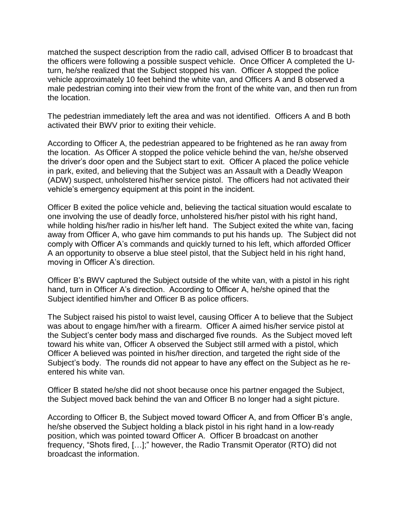matched the suspect description from the radio call, advised Officer B to broadcast that the officers were following a possible suspect vehicle. Once Officer A completed the Uturn, he/she realized that the Subject stopped his van. Officer A stopped the police vehicle approximately 10 feet behind the white van, and Officers A and B observed a male pedestrian coming into their view from the front of the white van, and then run from the location.

The pedestrian immediately left the area and was not identified. Officers A and B both activated their BWV prior to exiting their vehicle.

According to Officer A, the pedestrian appeared to be frightened as he ran away from the location. As Officer A stopped the police vehicle behind the van, he/she observed the driver's door open and the Subject start to exit. Officer A placed the police vehicle in park, exited, and believing that the Subject was an Assault with a Deadly Weapon (ADW) suspect, unholstered his/her service pistol. The officers had not activated their vehicle's emergency equipment at this point in the incident.

Officer B exited the police vehicle and, believing the tactical situation would escalate to one involving the use of deadly force, unholstered his/her pistol with his right hand, while holding his/her radio in his/her left hand. The Subject exited the white van, facing away from Officer A, who gave him commands to put his hands up*.* The Subject did not comply with Officer A's commands and quickly turned to his left, which afforded Officer A an opportunity to observe a blue steel pistol, that the Subject held in his right hand, moving in Officer A's direction.

Officer B's BWV captured the Subject outside of the white van, with a pistol in his right hand, turn in Officer A's direction. According to Officer A, he/she opined that the Subject identified him/her and Officer B as police officers.

The Subject raised his pistol to waist level, causing Officer A to believe that the Subject was about to engage him/her with a firearm. Officer A aimed his/her service pistol at the Subject's center body mass and discharged five rounds. As the Subject moved left toward his white van, Officer A observed the Subject still armed with a pistol, which Officer A believed was pointed in his/her direction, and targeted the right side of the Subject's body. The rounds did not appear to have any effect on the Subject as he reentered his white van.

Officer B stated he/she did not shoot because once his partner engaged the Subject, the Subject moved back behind the van and Officer B no longer had a sight picture.

According to Officer B, the Subject moved toward Officer A, and from Officer B's angle, he/she observed the Subject holding a black pistol in his right hand in a low-ready position, which was pointed toward Officer A. Officer B broadcast on another frequency, "Shots fired, […];" however, the Radio Transmit Operator (RTO) did not broadcast the information.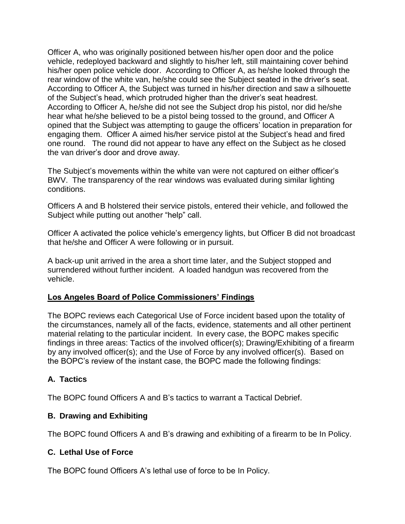Officer A, who was originally positioned between his/her open door and the police vehicle, redeployed backward and slightly to his/her left, still maintaining cover behind his/her open police vehicle door. According to Officer A, as he/she looked through the rear window of the white van, he/she could see the Subject seated in the driver's seat. According to Officer A, the Subject was turned in his/her direction and saw a silhouette of the Subject's head, which protruded higher than the driver's seat headrest. According to Officer A, he/she did not see the Subject drop his pistol, nor did he/she hear what he/she believed to be a pistol being tossed to the ground, and Officer A opined that the Subject was attempting to gauge the officers' location in preparation for engaging them. Officer A aimed his/her service pistol at the Subject's head and fired one round. The round did not appear to have any effect on the Subject as he closed the van driver's door and drove away.

The Subject's movements within the white van were not captured on either officer's BWV. The transparency of the rear windows was evaluated during similar lighting conditions.

Officers A and B holstered their service pistols, entered their vehicle, and followed the Subject while putting out another "help" call.

Officer A activated the police vehicle's emergency lights, but Officer B did not broadcast that he/she and Officer A were following or in pursuit.

A back-up unit arrived in the area a short time later, and the Subject stopped and surrendered without further incident. A loaded handgun was recovered from the vehicle.

# **Los Angeles Board of Police Commissioners' Findings**

The BOPC reviews each Categorical Use of Force incident based upon the totality of the circumstances, namely all of the facts, evidence, statements and all other pertinent material relating to the particular incident. In every case, the BOPC makes specific findings in three areas: Tactics of the involved officer(s); Drawing/Exhibiting of a firearm by any involved officer(s); and the Use of Force by any involved officer(s). Based on the BOPC's review of the instant case, the BOPC made the following findings:

# **A. Tactics**

The BOPC found Officers A and B's tactics to warrant a Tactical Debrief.

# **B. Drawing and Exhibiting**

The BOPC found Officers A and B's drawing and exhibiting of a firearm to be In Policy.

# **C. Lethal Use of Force**

The BOPC found Officers A's lethal use of force to be In Policy.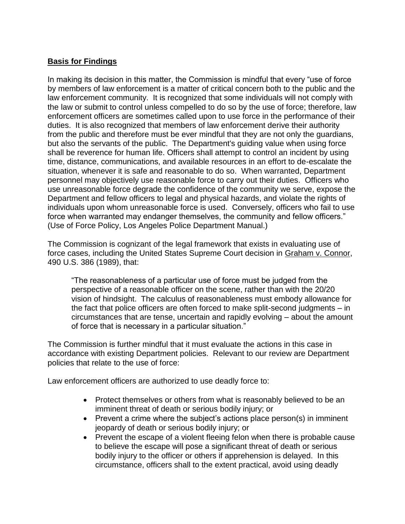# **Basis for Findings**

In making its decision in this matter, the Commission is mindful that every "use of force by members of law enforcement is a matter of critical concern both to the public and the law enforcement community. It is recognized that some individuals will not comply with the law or submit to control unless compelled to do so by the use of force; therefore, law enforcement officers are sometimes called upon to use force in the performance of their duties. It is also recognized that members of law enforcement derive their authority from the public and therefore must be ever mindful that they are not only the guardians, but also the servants of the public. The Department's guiding value when using force shall be reverence for human life. Officers shall attempt to control an incident by using time, distance, communications, and available resources in an effort to de-escalate the situation, whenever it is safe and reasonable to do so. When warranted, Department personnel may objectively use reasonable force to carry out their duties. Officers who use unreasonable force degrade the confidence of the community we serve, expose the Department and fellow officers to legal and physical hazards, and violate the rights of individuals upon whom unreasonable force is used. Conversely, officers who fail to use force when warranted may endanger themselves, the community and fellow officers." (Use of Force Policy, Los Angeles Police Department Manual.)

The Commission is cognizant of the legal framework that exists in evaluating use of force cases, including the United States Supreme Court decision in Graham v. Connor, 490 U.S. 386 (1989), that:

"The reasonableness of a particular use of force must be judged from the perspective of a reasonable officer on the scene, rather than with the 20/20 vision of hindsight. The calculus of reasonableness must embody allowance for the fact that police officers are often forced to make split-second judgments – in circumstances that are tense, uncertain and rapidly evolving – about the amount of force that is necessary in a particular situation."

The Commission is further mindful that it must evaluate the actions in this case in accordance with existing Department policies. Relevant to our review are Department policies that relate to the use of force:

Law enforcement officers are authorized to use deadly force to:

- Protect themselves or others from what is reasonably believed to be an imminent threat of death or serious bodily injury; or
- Prevent a crime where the subject's actions place person(s) in imminent jeopardy of death or serious bodily injury; or
- Prevent the escape of a violent fleeing felon when there is probable cause to believe the escape will pose a significant threat of death or serious bodily injury to the officer or others if apprehension is delayed. In this circumstance, officers shall to the extent practical, avoid using deadly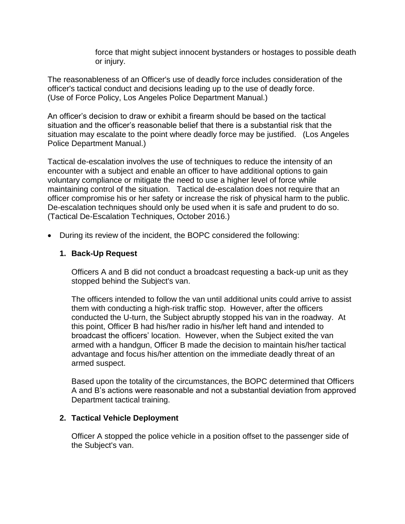force that might subject innocent bystanders or hostages to possible death or injury.

The reasonableness of an Officer's use of deadly force includes consideration of the officer's tactical conduct and decisions leading up to the use of deadly force. (Use of Force Policy, Los Angeles Police Department Manual.)

An officer's decision to draw or exhibit a firearm should be based on the tactical situation and the officer's reasonable belief that there is a substantial risk that the situation may escalate to the point where deadly force may be justified. (Los Angeles Police Department Manual.)

Tactical de-escalation involves the use of techniques to reduce the intensity of an encounter with a subject and enable an officer to have additional options to gain voluntary compliance or mitigate the need to use a higher level of force while maintaining control of the situation. Tactical de-escalation does not require that an officer compromise his or her safety or increase the risk of physical harm to the public. De-escalation techniques should only be used when it is safe and prudent to do so. (Tactical De-Escalation Techniques, October 2016.)

• During its review of the incident, the BOPC considered the following:

### **1. Back-Up Request**

Officers A and B did not conduct a broadcast requesting a back-up unit as they stopped behind the Subject's van.

The officers intended to follow the van until additional units could arrive to assist them with conducting a high-risk traffic stop. However, after the officers conducted the U-turn, the Subject abruptly stopped his van in the roadway. At this point, Officer B had his/her radio in his/her left hand and intended to broadcast the officers' location. However, when the Subject exited the van armed with a handgun, Officer B made the decision to maintain his/her tactical advantage and focus his/her attention on the immediate deadly threat of an armed suspect.

Based upon the totality of the circumstances, the BOPC determined that Officers A and B's actions were reasonable and not a substantial deviation from approved Department tactical training.

### **2. Tactical Vehicle Deployment**

Officer A stopped the police vehicle in a position offset to the passenger side of the Subject's van.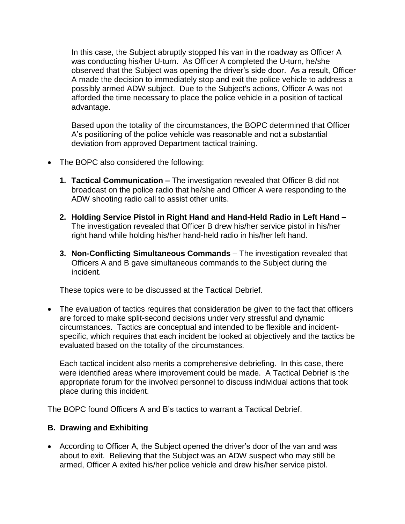In this case, the Subject abruptly stopped his van in the roadway as Officer A was conducting his/her U-turn. As Officer A completed the U-turn, he/she observed that the Subject was opening the driver's side door. As a result, Officer A made the decision to immediately stop and exit the police vehicle to address a possibly armed ADW subject. Due to the Subject's actions, Officer A was not afforded the time necessary to place the police vehicle in a position of tactical advantage.

Based upon the totality of the circumstances, the BOPC determined that Officer A's positioning of the police vehicle was reasonable and not a substantial deviation from approved Department tactical training.

- The BOPC also considered the following:
	- **1. Tactical Communication –** The investigation revealed that Officer B did not broadcast on the police radio that he/she and Officer A were responding to the ADW shooting radio call to assist other units.
	- **2. Holding Service Pistol in Right Hand and Hand-Held Radio in Left Hand –** The investigation revealed that Officer B drew his/her service pistol in his/her right hand while holding his/her hand-held radio in his/her left hand.
	- **3. Non-Conflicting Simultaneous Commands**  The investigation revealed that Officers A and B gave simultaneous commands to the Subject during the incident.

These topics were to be discussed at the Tactical Debrief.

• The evaluation of tactics requires that consideration be given to the fact that officers are forced to make split-second decisions under very stressful and dynamic circumstances. Tactics are conceptual and intended to be flexible and incidentspecific, which requires that each incident be looked at objectively and the tactics be evaluated based on the totality of the circumstances.

Each tactical incident also merits a comprehensive debriefing. In this case, there were identified areas where improvement could be made. A Tactical Debrief is the appropriate forum for the involved personnel to discuss individual actions that took place during this incident.

The BOPC found Officers A and B's tactics to warrant a Tactical Debrief.

### **B. Drawing and Exhibiting**

• According to Officer A, the Subject opened the driver's door of the van and was about to exit. Believing that the Subject was an ADW suspect who may still be armed, Officer A exited his/her police vehicle and drew his/her service pistol.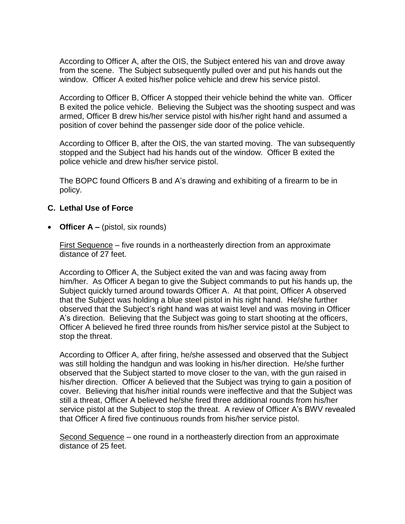According to Officer A, after the OIS, the Subject entered his van and drove away from the scene. The Subject subsequently pulled over and put his hands out the window. Officer A exited his/her police vehicle and drew his service pistol.

According to Officer B, Officer A stopped their vehicle behind the white van. Officer B exited the police vehicle. Believing the Subject was the shooting suspect and was armed, Officer B drew his/her service pistol with his/her right hand and assumed a position of cover behind the passenger side door of the police vehicle.

According to Officer B, after the OIS, the van started moving. The van subsequently stopped and the Subject had his hands out of the window. Officer B exited the police vehicle and drew his/her service pistol.

The BOPC found Officers B and A's drawing and exhibiting of a firearm to be in policy.

### **C. Lethal Use of Force**

• **Officer A –** (pistol, six rounds)

First Sequence – five rounds in a northeasterly direction from an approximate distance of 27 feet.

According to Officer A, the Subject exited the van and was facing away from him/her. As Officer A began to give the Subject commands to put his hands up, the Subject quickly turned around towards Officer A. At that point, Officer A observed that the Subject was holding a blue steel pistol in his right hand. He/she further observed that the Subject's right hand was at waist level and was moving in Officer A's direction. Believing that the Subject was going to start shooting at the officers, Officer A believed he fired three rounds from his/her service pistol at the Subject to stop the threat.

According to Officer A, after firing, he/she assessed and observed that the Subject was still holding the handgun and was looking in his/her direction. He/she further observed that the Subject started to move closer to the van, with the gun raised in his/her direction. Officer A believed that the Subject was trying to gain a position of cover. Believing that his/her initial rounds were ineffective and that the Subject was still a threat, Officer A believed he/she fired three additional rounds from his/her service pistol at the Subject to stop the threat. A review of Officer A's BWV revealed that Officer A fired five continuous rounds from his/her service pistol.

Second Sequence – one round in a northeasterly direction from an approximate distance of 25 feet.